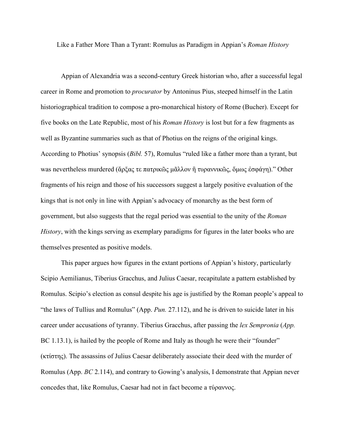Like a Father More Than a Tyrant: Romulus as Paradigm in Appian's *Roman History*

Appian of Alexandria was a second-century Greek historian who, after a successful legal career in Rome and promotion to *procurator* by Antoninus Pius, steeped himself in the Latin historiographical tradition to compose a pro-monarchical history of Rome (Bucher). Except for five books on the Late Republic, most of his *Roman History* is lost but for a few fragments as well as Byzantine summaries such as that of Photius on the reigns of the original kings. According to Photius' synopsis (*Bibl.* 57), Romulus "ruled like a father more than a tyrant, but was nevertheless murdered (ἄρξας τε πατρικῶς μᾶλλον ἢ τυραννικῶς, ὅμως ἐσφάγη)." Other fragments of his reign and those of his successors suggest a largely positive evaluation of the kings that is not only in line with Appian's advocacy of monarchy as the best form of government, but also suggests that the regal period was essential to the unity of the *Roman History*, with the kings serving as exemplary paradigms for figures in the later books who are themselves presented as positive models.

This paper argues how figures in the extant portions of Appian's history, particularly Scipio Aemilianus, Tiberius Gracchus, and Julius Caesar, recapitulate a pattern established by Romulus. Scipio's election as consul despite his age is justified by the Roman people's appeal to "the laws of Tullius and Romulus" (App. *Pun.* 27.112), and he is driven to suicide later in his career under accusations of tyranny. Tiberius Gracchus, after passing the *lex Sempronia* (*App.*  BC 1.13.1), is hailed by the people of Rome and Italy as though he were their "founder" (κτίστης). The assassins of Julius Caesar deliberately associate their deed with the murder of Romulus (App. *BC* 2.114), and contrary to Gowing's analysis, I demonstrate that Appian never concedes that, like Romulus, Caesar had not in fact become a τύραννος.